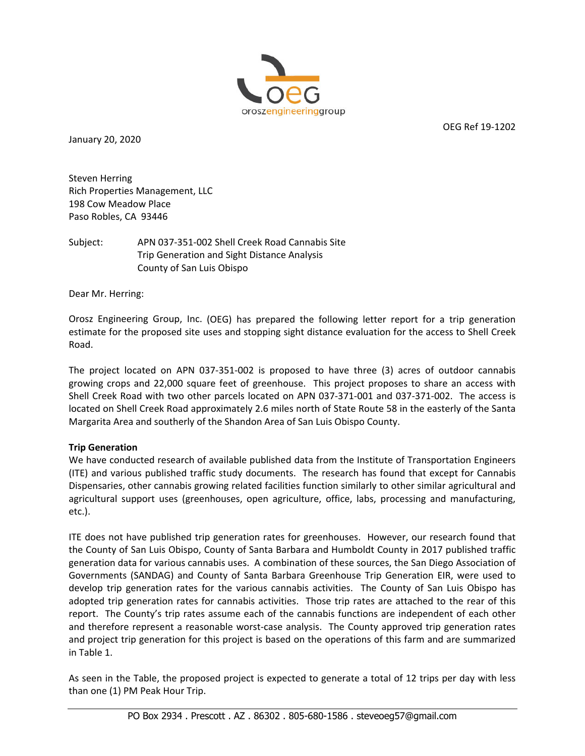

January 20, 2020

OEG Ref 19‐1202

Steven Herring Rich Properties Management, LLC 198 Cow Meadow Place Paso Robles, CA 93446

Subject: APN 037‐351‐002 Shell Creek Road Cannabis Site Trip Generation and Sight Distance Analysis County of San Luis Obispo

Dear Mr. Herring:

Orosz Engineering Group, Inc. (OEG) has prepared the following letter report for a trip generation estimate for the proposed site uses and stopping sight distance evaluation for the access to Shell Creek Road.

The project located on APN 037‐351‐002 is proposed to have three (3) acres of outdoor cannabis growing crops and 22,000 square feet of greenhouse. This project proposes to share an access with Shell Creek Road with two other parcels located on APN 037‐371‐001 and 037‐371‐002. The access is located on Shell Creek Road approximately 2.6 miles north of State Route 58 in the easterly of the Santa Margarita Area and southerly of the Shandon Area of San Luis Obispo County.

## **Trip Generation**

We have conducted research of available published data from the Institute of Transportation Engineers (ITE) and various published traffic study documents. The research has found that except for Cannabis Dispensaries, other cannabis growing related facilities function similarly to other similar agricultural and agricultural support uses (greenhouses, open agriculture, office, labs, processing and manufacturing, etc.).

ITE does not have published trip generation rates for greenhouses. However, our research found that the County of San Luis Obispo, County of Santa Barbara and Humboldt County in 2017 published traffic generation data for various cannabis uses. A combination of these sources, the San Diego Association of Governments (SANDAG) and County of Santa Barbara Greenhouse Trip Generation EIR, were used to develop trip generation rates for the various cannabis activities. The County of San Luis Obispo has adopted trip generation rates for cannabis activities. Those trip rates are attached to the rear of this report. The County's trip rates assume each of the cannabis functions are independent of each other and therefore represent a reasonable worst-case analysis. The County approved trip generation rates and project trip generation for this project is based on the operations of this farm and are summarized in Table 1.

As seen in the Table, the proposed project is expected to generate a total of 12 trips per day with less than one (1) PM Peak Hour Trip.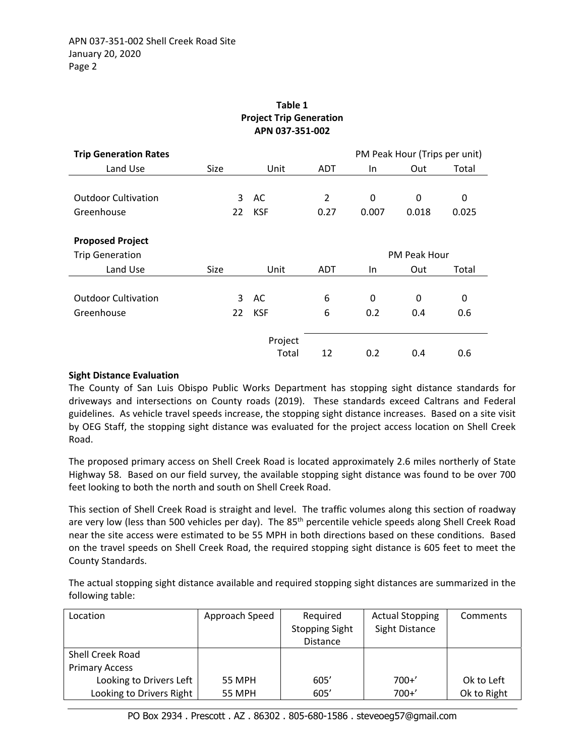| APN 037-351-002                                               |                               |                  |                        |                   |                     |            |  |  |  |
|---------------------------------------------------------------|-------------------------------|------------------|------------------------|-------------------|---------------------|------------|--|--|--|
| <b>Trip Generation Rates</b>                                  | PM Peak Hour (Trips per unit) |                  |                        |                   |                     |            |  |  |  |
| Land Use                                                      | <b>Size</b>                   | Unit             | <b>ADT</b>             | $\ln$             | Out                 | Total      |  |  |  |
| <b>Outdoor Cultivation</b><br>Greenhouse                      | 3<br>22                       | AC<br><b>KSF</b> | $\overline{2}$<br>0.27 | $\Omega$<br>0.007 | 0<br>0.018          | 0<br>0.025 |  |  |  |
| <b>Proposed Project</b><br><b>Trip Generation</b><br>Land Use | Size                          | Unit             | <b>ADT</b>             | In.               | PM Peak Hour<br>Out | Total      |  |  |  |
| <b>Outdoor Cultivation</b><br>Greenhouse                      | 3<br>22                       | AC<br><b>KSF</b> | 6<br>6                 | $\Omega$<br>0.2   | 0<br>0.4            | 0<br>0.6   |  |  |  |
|                                                               |                               | Project<br>Total | 12                     | 0.2               | 0.4                 | 0.6        |  |  |  |

# **Table 1 Project Trip Generation**

## **Sight Distance Evaluation**

The County of San Luis Obispo Public Works Department has stopping sight distance standards for driveways and intersections on County roads (2019). These standards exceed Caltrans and Federal guidelines. As vehicle travel speeds increase, the stopping sight distance increases. Based on a site visit by OEG Staff, the stopping sight distance was evaluated for the project access location on Shell Creek Road.

The proposed primary access on Shell Creek Road is located approximately 2.6 miles northerly of State Highway 58. Based on our field survey, the available stopping sight distance was found to be over 700 feet looking to both the north and south on Shell Creek Road.

This section of Shell Creek Road is straight and level. The traffic volumes along this section of roadway are very low (less than 500 vehicles per day). The 85<sup>th</sup> percentile vehicle speeds along Shell Creek Road near the site access were estimated to be 55 MPH in both directions based on these conditions. Based on the travel speeds on Shell Creek Road, the required stopping sight distance is 605 feet to meet the County Standards.

The actual stopping sight distance available and required stopping sight distances are summarized in the following table:

| Location                 | Approach Speed | Required              | <b>Actual Stopping</b> | Comments    |  |
|--------------------------|----------------|-----------------------|------------------------|-------------|--|
|                          |                | <b>Stopping Sight</b> | Sight Distance         |             |  |
|                          |                | <b>Distance</b>       |                        |             |  |
| Shell Creek Road         |                |                       |                        |             |  |
| <b>Primary Access</b>    |                |                       |                        |             |  |
| Looking to Drivers Left  | 55 MPH         | 605'                  | $700+7$                | Ok to Left  |  |
| Looking to Drivers Right | <b>55 MPH</b>  | 605'                  | $700+7$                | Ok to Right |  |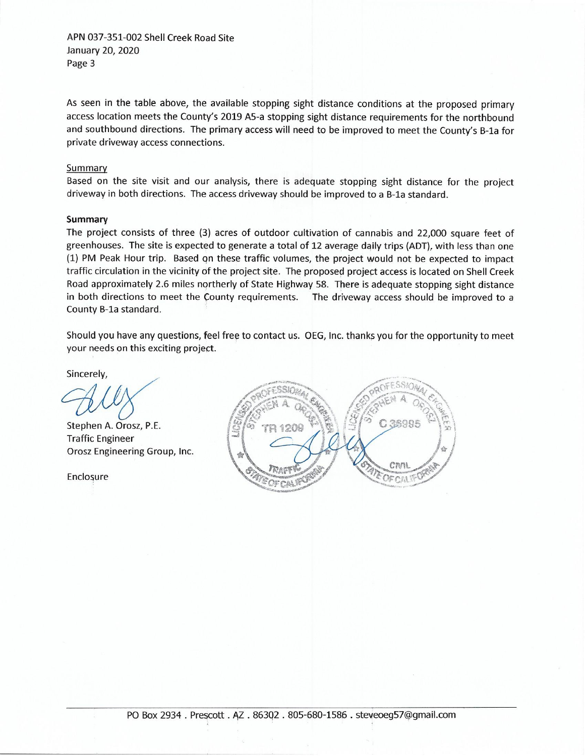APN 037-351-002 Shell Creek Road Site January 20, 2020 Page 3

As seen in the table above, the available stopping sight distance conditions at the proposed primary access location meets the County's 2019 A5-a stopping sight distance requirements for the northbound and southbound directions. The primary access will need to be improved to meet the County's B-1a for private driveway access connections.

### Summary

Based on the site visit and our analysis, there is adequate stopping sight distance for the project driveway in both directions. The access driveway should be improved to a B-1a standard.

#### Summary

The project consists of three (3) acres of outdoor cultivation of cannabis and 22,000 square feet of greenhouses. The site is expected to generate a total of 12 average daily trips (ADT), with less than one (1) PM Peak Hour trip. Based on these traffic volumes, the project would not be expected to impact traffic circulation in the vicinity of the project site. The proposed project access is located on Shell Creek Road approximately 2.6 miles northerly of State Highway 58. There is adequate stopping sight distance in both directions to meet the County requirements. The driveway access should be improved to a County B-1a standard.

Should you have any questions, feel free to contact us. OEG, Inc. thanks you for the opportunity to meet your needs on this exciting project.

Sincerely,

Stephen A. Orosz, P.E. **Traffic Engineer** Orosz Engineering Group, Inc.

Enclosure